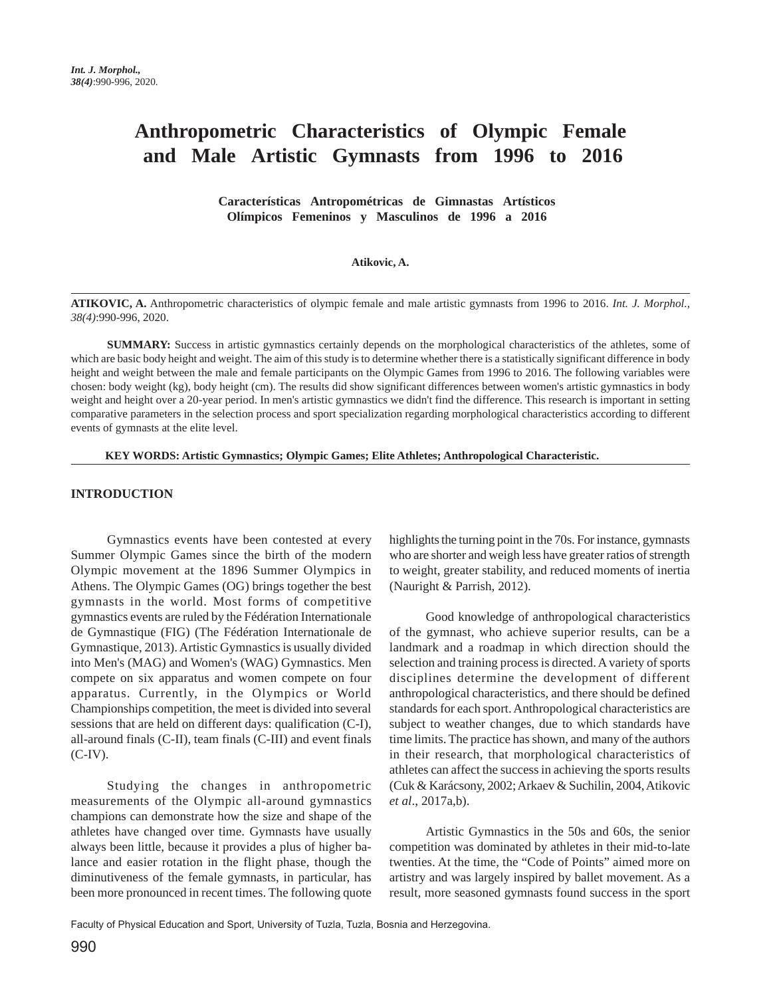# **Anthropometric Characteristics of Olympic Female and Male Artistic Gymnasts from 1996 to 2016**

 **Características Antropométricas de Gimnastas Artísticos Olímpicos Femeninos y Masculinos de 1996 a 2016** 

#### **Atikovic, A.**

**ATIKOVIC, A.** Anthropometric characteristics of olympic female and male artistic gymnasts from 1996 to 2016. *Int. J. Morphol., 38(4)*:990-996, 2020.

**SUMMARY:** Success in artistic gymnastics certainly depends on the morphological characteristics of the athletes, some of which are basic body height and weight. The aim of this study is to determine whether there is a statistically significant difference in body height and weight between the male and female participants on the Olympic Games from 1996 to 2016. The following variables were chosen: body weight (kg), body height (cm). The results did show significant differences between women's artistic gymnastics in body weight and height over a 20-year period. In men's artistic gymnastics we didn't find the difference. This research is important in setting comparative parameters in the selection process and sport specialization regarding morphological characteristics according to different events of gymnasts at the elite level.

 **KEY WORDS: Artistic Gymnastics; Olympic Games; Elite Athletes; Anthropological Characteristic.**

### **INTRODUCTION**

Gymnastics events have been contested at every Summer Olympic Games since the birth of the modern Olympic movement at the 1896 Summer Olympics in Athens. The Olympic Games (OG) brings together the best gymnasts in the world. Most forms of competitive gymnastics events are ruled by the Fédération Internationale de Gymnastique (FIG) (The Fédération Internationale de Gymnastique, 2013). Artistic Gymnastics is usually divided into Men's (MAG) and Women's (WAG) Gymnastics. Men compete on six apparatus and women compete on four apparatus. Currently, in the Olympics or World Championships competition, the meet is divided into several sessions that are held on different days: qualification (C-I), all-around finals (C-II), team finals (C-III) and event finals  $(C-IV)$ .

Studying the changes in anthropometric measurements of the Olympic all-around gymnastics champions can demonstrate how the size and shape of the athletes have changed over time. Gymnasts have usually always been little, because it provides a plus of higher balance and easier rotation in the flight phase, though the diminutiveness of the female gymnasts, in particular, has been more pronounced in recent times. The following quote

highlights the turning point in the 70s. For instance, gymnasts who are shorter and weigh less have greater ratios of strength to weight, greater stability, and reduced moments of inertia (Nauright & Parrish, 2012).

Good knowledge of anthropological characteristics of the gymnast, who achieve superior results, can be a landmark and a roadmap in which direction should the selection and training process is directed. A variety of sports disciplines determine the development of different anthropological characteristics, and there should be defined standards for each sport. Anthropological characteristics are subject to weather changes, due to which standards have time limits. The practice has shown, and many of the authors in their research, that morphological characteristics of athletes can affect the success in achieving the sports results (Cuk & Karácsony, 2002; Arkaev & Suchilin, 2004, Atikovic *et al*., 2017a,b).

Artistic Gymnastics in the 50s and 60s, the senior competition was dominated by athletes in their mid-to-late twenties. At the time, the "Code of Points" aimed more on artistry and was largely inspired by ballet movement. As a result, more seasoned gymnasts found success in the sport

Faculty of Physical Education and Sport, University of Tuzla, Tuzla, Bosnia and Herzegovina.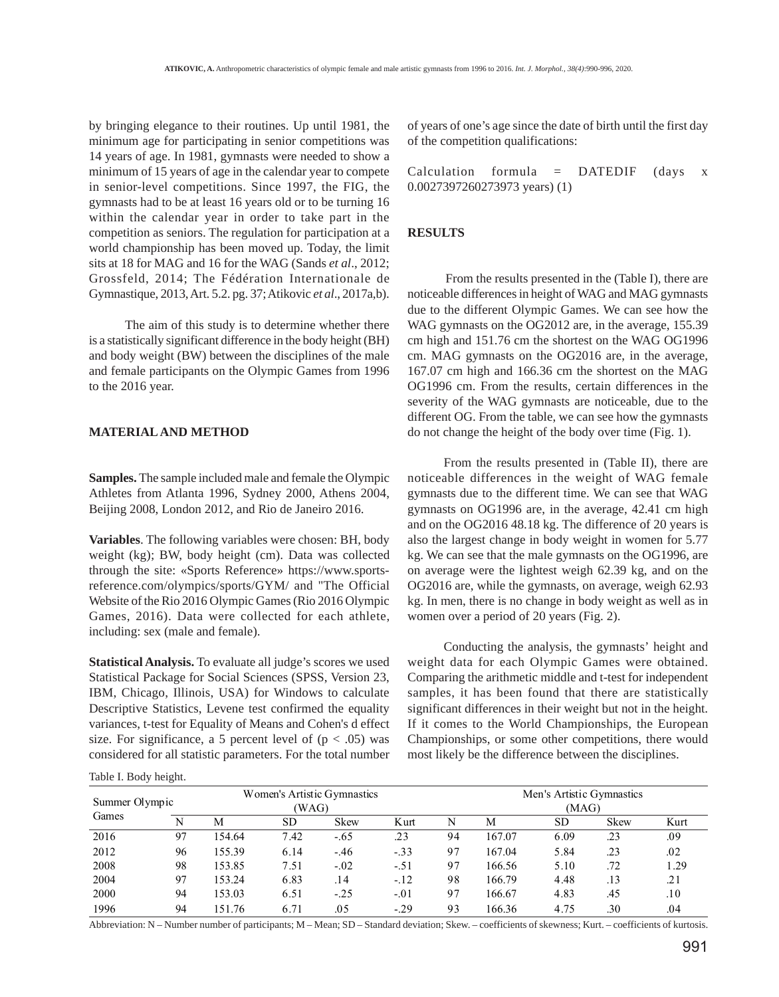by bringing elegance to their routines. Up until 1981, the minimum age for participating in senior competitions was 14 years of age. In 1981, gymnasts were needed to show a minimum of 15 years of age in the calendar year to compete in senior-level competitions. Since 1997, the FIG, the gymnasts had to be at least 16 years old or to be turning 16 within the calendar year in order to take part in the competition as seniors. The regulation for participation at a world championship has been moved up. Today, the limit sits at 18 for MAG and 16 for the WAG (Sands *et al*., 2012; Grossfeld, 2014; The Fédération Internationale de Gymnastique, 2013, Art. 5.2. pg. 37; Atikovic *et al*., 2017a,b).

The aim of this study is to determine whether there is a statistically significant difference in the body height (BH) and body weight (BW) between the disciplines of the male and female participants on the Olympic Games from 1996 to the 2016 year.

## **MATERIAL AND METHOD**

**Samples.** The sample included male and female the Olympic Athletes from Atlanta 1996, Sydney 2000, Athens 2004, Beijing 2008, London 2012, and Rio de Janeiro 2016.

**Variables**. The following variables were chosen: BH, body weight (kg); BW, body height (cm). Data was collected through the site: «Sports Reference» https://www.sportsreference.com/olympics/sports/GYM/ and "The Official Website of the Rio 2016 Olympic Games (Rio 2016 Olympic Games, 2016). Data were collected for each athlete, including: sex (male and female).

**Statistical Analysis.** To evaluate all judge's scores we used Statistical Package for Social Sciences (SPSS, Version 23, IBM, Chicago, Illinois, USA) for Windows to calculate Descriptive Statistics, Levene test confirmed the equality variances, t-test for Equality of Means and Cohen's d effect size. For significance, a 5 percent level of  $(p < .05)$  was considered for all statistic parameters. For the total number

Table I. Body height.

of years of one's age since the date of birth until the first day of the competition qualifications:

Calculation formula =  $DATEDIF$  (days x 0.0027397260273973 years) (1)

#### **RESULTS**

 From the results presented in the (Table I), there are noticeable differences in height of WAG and MAG gymnasts due to the different Olympic Games. We can see how the WAG gymnasts on the OG2012 are, in the average, 155.39 cm high and 151.76 cm the shortest on the WAG OG1996 cm. MAG gymnasts on the OG2016 are, in the average, 167.07 cm high and 166.36 cm the shortest on the MAG OG1996 cm. From the results, certain differences in the severity of the WAG gymnasts are noticeable, due to the different OG. From the table, we can see how the gymnasts do not change the height of the body over time (Fig. 1).

From the results presented in (Table II), there are noticeable differences in the weight of WAG female gymnasts due to the different time. We can see that WAG gymnasts on OG1996 are, in the average, 42.41 cm high and on the OG2016 48.18 kg. The difference of 20 years is also the largest change in body weight in women for 5.77 kg. We can see that the male gymnasts on the OG1996, are on average were the lightest weigh 62.39 kg, and on the OG2016 are, while the gymnasts, on average, weigh 62.93 kg. In men, there is no change in body weight as well as in women over a period of 20 years (Fig. 2).

Conducting the analysis, the gymnasts' height and weight data for each Olympic Games were obtained. Comparing the arithmetic middle and t-test for independent samples, it has been found that there are statistically significant differences in their weight but not in the height. If it comes to the World Championships, the European Championships, or some other competitions, there would most likely be the difference between the disciplines.

|                | ີ  |                             |      |             |                                    |    |        |           |             |      |
|----------------|----|-----------------------------|------|-------------|------------------------------------|----|--------|-----------|-------------|------|
| Summer Olympic |    | Women's Artistic Gymnastics |      |             | Men's Artistic Gymnastics<br>(MAG) |    |        |           |             |      |
| Games          | N  | M                           | SD.  | <b>Skew</b> | Kurt                               | N  | М      | <b>SD</b> | <b>Skew</b> | Kurt |
| 2016           | 97 | 154.64                      | 7.42 | $-.65$      | .23                                | 94 | 167.07 | 6.09      | .23         | .09  |
| 2012           | 96 | 155.39                      | 6.14 | $-.46$      | $-.33$                             | 97 | 167.04 | 5.84      | .23         | .02  |
| 2008           | 98 | 153.85                      | 7.51 | $-.02$      | $-.51$                             | 97 | 166.56 | 5.10      | .72         | 1.29 |
| 2004           | 97 | 153.24                      | 6.83 | .14         | $-.12$                             | 98 | 166.79 | 4.48      | .13         | .21  |
| 2000           | 94 | 153.03                      | 6.51 | $-.25$      | $-.01$                             | 97 | 166.67 | 4.83      | .45         | .10  |
| 1996           | 94 | 151.76                      | 6.71 | .05         | $-.29$                             | 93 | 166.36 | 4.75      | .30         | .04  |

Abbreviation: N – Number number of participants; M – Mean; SD – Standard deviation; Skew. – coefficients of skewness; Kurt. – coefficients of kurtosis.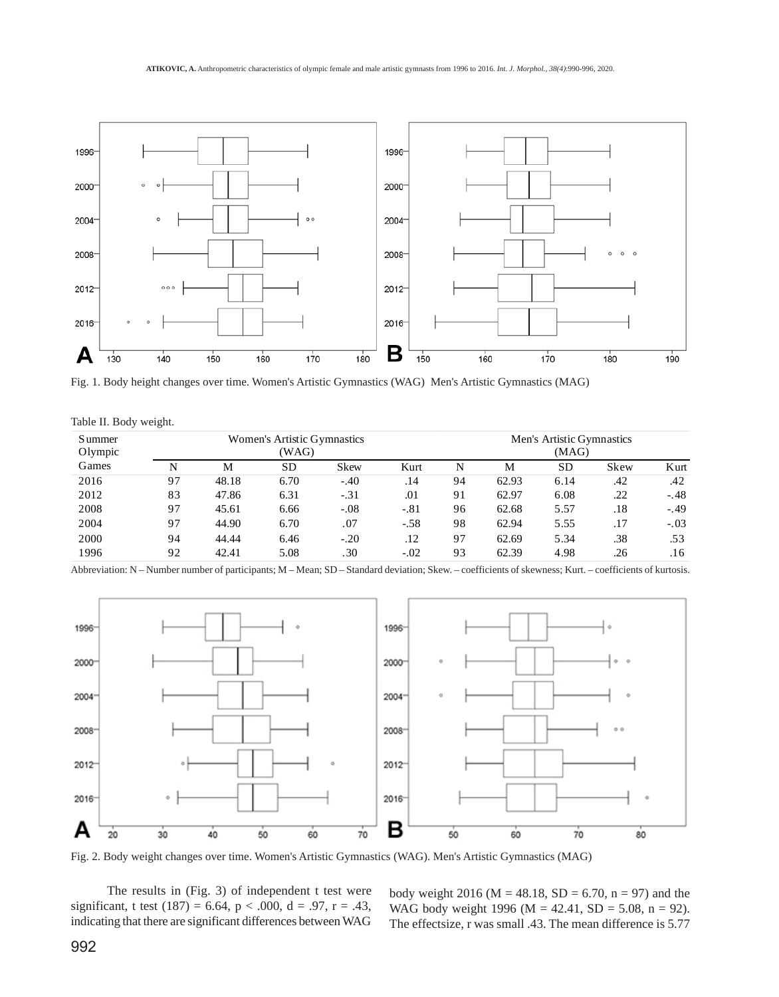

Fig. 1. Body height changes over time. Women's Artistic Gymnastics (WAG) Men's Artistic Gymnastics (MAG)

|  |  |  | Table II. Body weight. |
|--|--|--|------------------------|
|--|--|--|------------------------|

| S ummer<br>Olympic | Women's Artistic Gymnastics<br>(WAG) |       |           |             |        | Men's Artistic Gymnastics<br>(MAG) |       |           |      |        |  |
|--------------------|--------------------------------------|-------|-----------|-------------|--------|------------------------------------|-------|-----------|------|--------|--|
| Games              | N                                    | М     | <b>SD</b> | <b>Skew</b> | Kurt   | N                                  | M     | <b>SD</b> | Skew | Kurt   |  |
| 2016               | 97                                   | 48.18 | 6.70      | $-.40$      | .14    | 94                                 | 62.93 | 6.14      | .42  | .42    |  |
| 2012               | 83                                   | 47.86 | 6.31      | $-.31$      | .01    | 91                                 | 62.97 | 6.08      | .22  | $-.48$ |  |
| 2008               | 97                                   | 45.61 | 6.66      | $-.08$      | $-.81$ | 96                                 | 62.68 | 5.57      | .18  | $-.49$ |  |
| 2004               | 97                                   | 44.90 | 6.70      | .07         | $-.58$ | 98                                 | 62.94 | 5.55      | .17  | $-.03$ |  |
| 2000               | 94                                   | 44.44 | 6.46      | $-.20$      | .12    | 97                                 | 62.69 | 5.34      | .38  | .53    |  |
| 1996               | 92                                   | 42.41 | 5.08      | .30         | $-.02$ | 93                                 | 62.39 | 4.98      | .26  | .16    |  |

Abbreviation: N – Number number of participants; M – Mean; SD – Standard deviation; Skew. – coefficients of skewness; Kurt. – coefficients of kurtosis.



Fig. 2. Body weight changes over time. Women's Artistic Gymnastics (WAG). Men's Artistic Gymnastics (MAG)

The results in (Fig. 3) of independent t test were significant, t test (187) = 6.64, p < .000, d = .97, r = .43, indicating that there are significant differences between WAG

body weight 2016 ( $M = 48.18$ , SD = 6.70, n = 97) and the WAG body weight 1996 ( $M = 42.41$ , SD = 5.08, n = 92). The effectsize, r was small .43. The mean difference is 5.77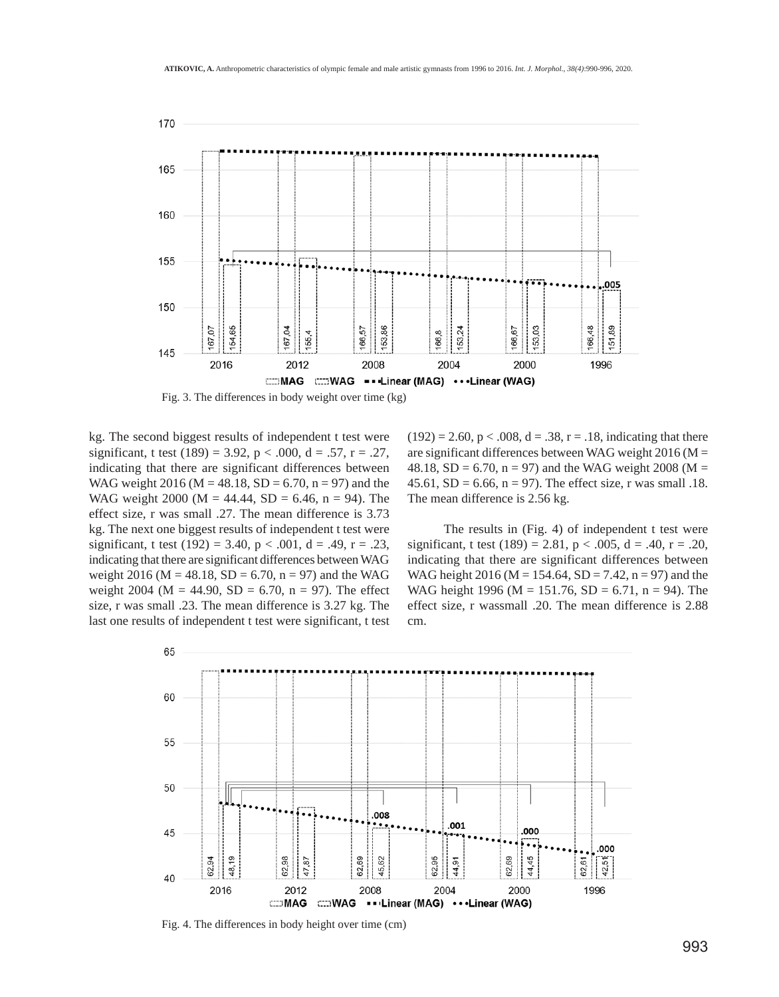

Fig. 3. The differences in body weight over time (kg)

kg. The second biggest results of independent t test were significant, t test (189) = 3.92,  $p < .000$ ,  $d = .57$ ,  $r = .27$ , indicating that there are significant differences between WAG weight 2016 ( $M = 48.18$ , SD = 6.70, n = 97) and the WAG weight 2000 (M = 44.44, SD = 6.46, n = 94). The effect size, r was small .27. The mean difference is 3.73 kg. The next one biggest results of independent t test were significant, t test (192) = 3.40,  $p < .001$ ,  $d = .49$ ,  $r = .23$ , indicating that there are significant differences between WAG weight 2016 ( $M = 48.18$ ,  $SD = 6.70$ ,  $n = 97$ ) and the WAG weight 2004 (M = 44.90, SD = 6.70, n = 97). The effect size, r was small .23. The mean difference is 3.27 kg. The last one results of independent t test were significant, t test  $(192) = 2.60$ ,  $p < .008$ ,  $d = .38$ ,  $r = .18$ , indicating that there are significant differences between WAG weight  $2016$  (M = 48.18, SD = 6.70, n = 97) and the WAG weight 2008 (M = 45.61,  $SD = 6.66$ ,  $n = 97$ ). The effect size, r was small .18. The mean difference is 2.56 kg.

The results in (Fig. 4) of independent t test were significant, t test (189) = 2.81,  $p < .005$ ,  $d = .40$ ,  $r = .20$ , indicating that there are significant differences between WAG height 2016 (M = 154.64, SD = 7.42, n = 97) and the WAG height 1996 (M = 151.76, SD = 6.71, n = 94). The effect size, r wassmall .20. The mean difference is 2.88 cm.



Fig. 4. The differences in body height over time (cm)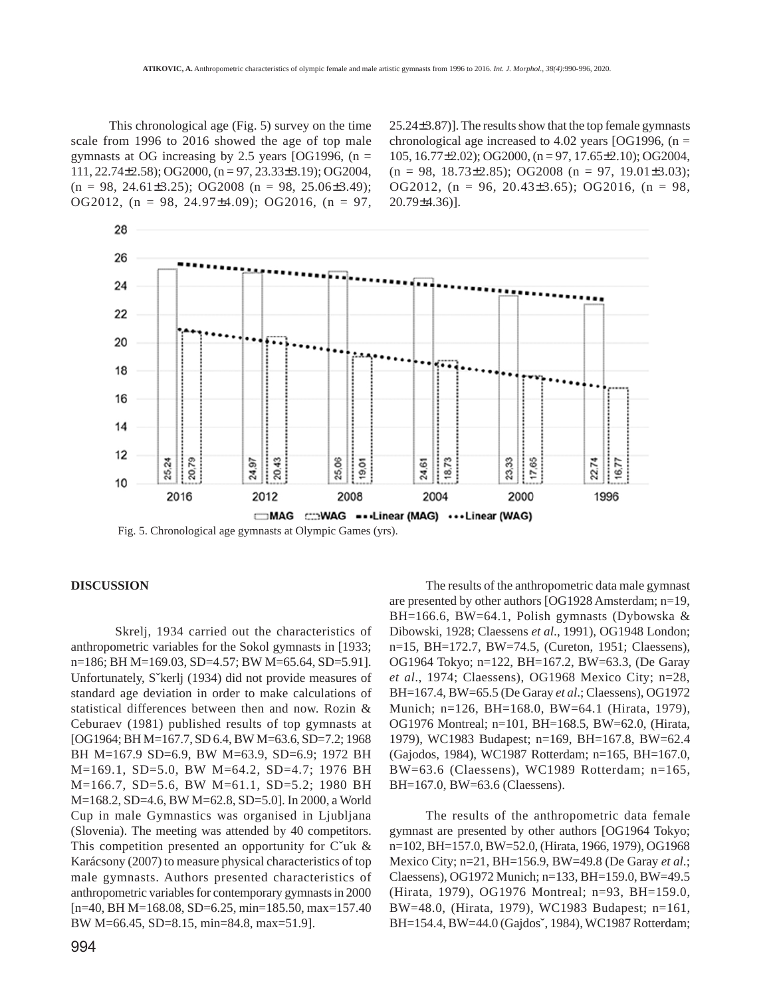This chronological age (Fig. 5) survey on the time scale from 1996 to 2016 showed the age of top male gymnasts at OG increasing by 2.5 years [OG1996,  $(n =$ 111, 22.74±2.58); OG2000, (n = 97, 23.33±3.19); OG2004,  $(n = 98, 24.61 \pm 3.25)$ ; OG2008  $(n = 98, 25.06 \pm 3.49)$ ; OG2012,  $(n = 98, 24.97 \pm 4.09)$ ; OG2016,  $(n = 97,$  25.24±3.87)]. The results show that the top female gymnasts chronological age increased to 4.02 years [OG1996,  $(n =$ 105, 16.77±2.02); OG2000, (n = 97, 17.65±2.10); OG2004,  $(n = 98, 18.73 \pm 2.85)$ ; OG2008  $(n = 97, 19.01 \pm 3.03)$ ; OG2012,  $(n = 96, 20.43\pm3.65)$ ; OG2016,  $(n = 98,$ 20.79±4.36)].



Fig. 5. Chronological age gymnasts at Olympic Games (yrs).

# **DISCUSSION**

28

 Skrelj, 1934 carried out the characteristics of anthropometric variables for the Sokol gymnasts in [1933; n=186; BH M=169.03, SD=4.57; BW M=65.64, SD=5.91]. Unfortunately, Sˇkerlj (1934) did not provide measures of standard age deviation in order to make calculations of statistical differences between then and now. Rozin & Ceburaev (1981) published results of top gymnasts at [OG1964; BH M=167.7, SD 6.4, BW M=63.6, SD=7.2; 1968 BH M=167.9 SD=6.9, BW M=63.9, SD=6.9; 1972 BH M=169.1, SD=5.0, BW M=64.2, SD=4.7; 1976 BH M=166.7, SD=5.6, BW M=61.1, SD=5.2; 1980 BH M=168.2, SD=4.6, BW M=62.8, SD=5.0]. In 2000, a World Cup in male Gymnastics was organised in Ljubljana (Slovenia). The meeting was attended by 40 competitors. This competition presented an opportunity for  $C^{\prime}$ uk & Karácsony (2007) to measure physical characteristics of top male gymnasts. Authors presented characteristics of anthropometric variables for contemporary gymnasts in 2000 [n=40, BH M=168.08, SD=6.25, min=185.50, max=157.40 BW M=66.45, SD=8.15, min=84.8, max=51.9].

The results of the anthropometric data male gymnast are presented by other authors [OG1928 Amsterdam; n=19, BH=166.6, BW=64.1, Polish gymnasts (Dybowska & Dibowski, 1928; Claessens *et al*., 1991), OG1948 London; n=15, BH=172.7, BW=74.5, (Cureton, 1951; Claessens), OG1964 Tokyo; n=122, BH=167.2, BW=63.3, (De Garay *et al*., 1974; Claessens), OG1968 Mexico City; n=28, BH=167.4, BW=65.5 (De Garay *et al*.; Claessens), OG1972 Munich; n=126, BH=168.0, BW=64.1 (Hirata, 1979), OG1976 Montreal; n=101, BH=168.5, BW=62.0, (Hirata, 1979), WC1983 Budapest; n=169, BH=167.8, BW=62.4 (Gajodos, 1984), WC1987 Rotterdam; n=165, BH=167.0, BW=63.6 (Claessens), WC1989 Rotterdam; n=165, BH=167.0, BW=63.6 (Claessens).

The results of the anthropometric data female gymnast are presented by other authors [OG1964 Tokyo; n=102, BH=157.0, BW=52.0, (Hirata, 1966, 1979), OG1968 Mexico City; n=21, BH=156.9, BW=49.8 (De Garay *et al*.; Claessens), OG1972 Munich; n=133, BH=159.0, BW=49.5 (Hirata, 1979), OG1976 Montreal; n=93, BH=159.0, BW=48.0, (Hirata, 1979), WC1983 Budapest; n=161, BH=154.4, BW=44.0 (Gajdosˇ, 1984), WC1987 Rotterdam;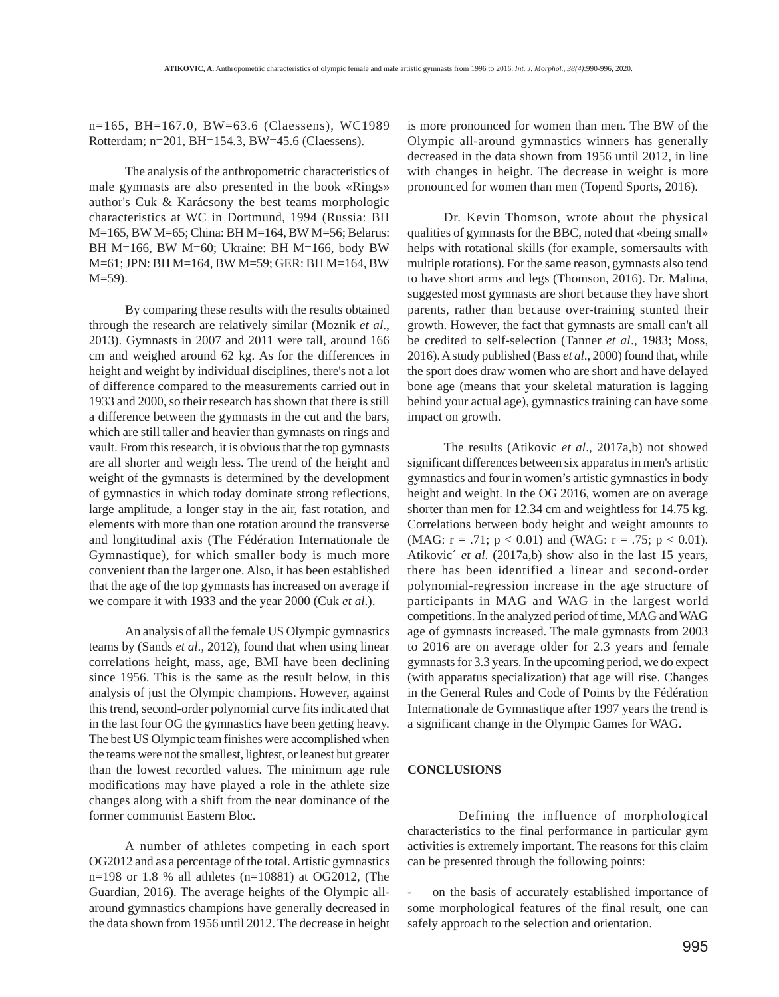n=165, BH=167.0, BW=63.6 (Claessens), WC1989 Rotterdam; n=201, BH=154.3, BW=45.6 (Claessens).

The analysis of the anthropometric characteristics of male gymnasts are also presented in the book «Rings» author's Cuk & Karácsony the best teams morphologic characteristics at WC in Dortmund, 1994 (Russia: BH M=165, BW M=65; China: BH M=164, BW M=56; Belarus: BH M=166, BW M=60; Ukraine: BH M=166, body BW M=61; JPN: BH M=164, BW M=59; GER: BH M=164, BW M=59).

By comparing these results with the results obtained through the research are relatively similar (Moznik *et al*., 2013). Gymnasts in 2007 and 2011 were tall, around 166 cm and weighed around 62 kg. As for the differences in height and weight by individual disciplines, there's not a lot of difference compared to the measurements carried out in 1933 and 2000, so their research has shown that there is still a difference between the gymnasts in the cut and the bars, which are still taller and heavier than gymnasts on rings and vault. From this research, it is obvious that the top gymnasts are all shorter and weigh less. The trend of the height and weight of the gymnasts is determined by the development of gymnastics in which today dominate strong reflections, large amplitude, a longer stay in the air, fast rotation, and elements with more than one rotation around the transverse and longitudinal axis (The Fédération Internationale de Gymnastique), for which smaller body is much more convenient than the larger one. Also, it has been established that the age of the top gymnasts has increased on average if we compare it with 1933 and the year 2000 (Cuk *et al*.).

An analysis of all the female US Olympic gymnastics teams by (Sands *et al*., 2012), found that when using linear correlations height, mass, age, BMI have been declining since 1956. This is the same as the result below, in this analysis of just the Olympic champions. However, against this trend, second-order polynomial curve fits indicated that in the last four OG the gymnastics have been getting heavy. The best US Olympic team finishes were accomplished when the teams were not the smallest, lightest, or leanest but greater than the lowest recorded values. The minimum age rule modifications may have played a role in the athlete size changes along with a shift from the near dominance of the former communist Eastern Bloc.

A number of athletes competing in each sport OG2012 and as a percentage of the total. Artistic gymnastics n=198 or 1.8 % all athletes (n=10881) at OG2012, (The Guardian, 2016). The average heights of the Olympic allaround gymnastics champions have generally decreased in the data shown from 1956 until 2012. The decrease in height

is more pronounced for women than men. The BW of the Olympic all-around gymnastics winners has generally decreased in the data shown from 1956 until 2012, in line with changes in height. The decrease in weight is more pronounced for women than men (Topend Sports, 2016).

Dr. Kevin Thomson, wrote about the physical qualities of gymnasts for the BBC, noted that «being small» helps with rotational skills (for example, somersaults with multiple rotations). For the same reason, gymnasts also tend to have short arms and legs (Thomson, 2016). Dr. Malina, suggested most gymnasts are short because they have short parents, rather than because over-training stunted their growth. However, the fact that gymnasts are small can't all be credited to self-selection (Tanner *et al*., 1983; Moss, 2016). A study published (Bass *et al*., 2000) found that, while the sport does draw women who are short and have delayed bone age (means that your skeletal maturation is lagging behind your actual age), gymnastics training can have some impact on growth.

The results (Atikovic *et al*., 2017a,b) not showed significant differences between six apparatus in men's artistic gymnastics and four in women's artistic gymnastics in body height and weight. In the OG 2016, women are on average shorter than men for 12.34 cm and weightless for 14.75 kg. Correlations between body height and weight amounts to (MAG:  $r = .71$ ;  $p < 0.01$ ) and (WAG:  $r = .75$ ;  $p < 0.01$ ). Atikovic´ *et al*. (2017a,b) show also in the last 15 years, there has been identified a linear and second-order polynomial-regression increase in the age structure of participants in MAG and WAG in the largest world competitions. In the analyzed period of time, MAG and WAG age of gymnasts increased. The male gymnasts from 2003 to 2016 are on average older for 2.3 years and female gymnasts for 3.3 years. In the upcoming period, we do expect (with apparatus specialization) that age will rise. Changes in the General Rules and Code of Points by the Fédération Internationale de Gymnastique after 1997 years the trend is a significant change in the Olympic Games for WAG.

#### **CONCLUSIONS**

 Defining the influence of morphological characteristics to the final performance in particular gym activities is extremely important. The reasons for this claim can be presented through the following points:

on the basis of accurately established importance of some morphological features of the final result, one can safely approach to the selection and orientation.